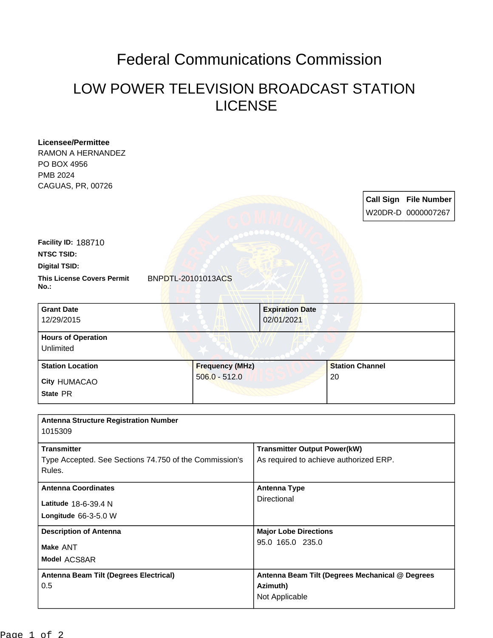## Federal Communications Commission

## LOW POWER TELEVISION BROADCAST STATION LICENSE

| Licensee/Permittee<br><b>RAMON A HERNANDEZ</b><br>PO BOX 4956    |                        |                                                 |                        |  |                                                    |
|------------------------------------------------------------------|------------------------|-------------------------------------------------|------------------------|--|----------------------------------------------------|
| PMB 2024                                                         |                        |                                                 |                        |  |                                                    |
| CAGUAS, PR, 00726                                                |                        |                                                 |                        |  | <b>Call Sign File Number</b><br>W20DR-D 0000007267 |
| <b>Facility ID: 188710</b><br><b>NTSC TSID:</b>                  |                        |                                                 |                        |  |                                                    |
| <b>Digital TSID:</b>                                             |                        |                                                 |                        |  |                                                    |
| <b>This License Covers Permit</b><br>BNPDTL-20101013ACS<br>No.:  |                        |                                                 |                        |  |                                                    |
| <b>Grant Date</b><br>12/29/2015                                  |                        | <b>Expiration Date</b><br>02/01/2021            |                        |  |                                                    |
| <b>Hours of Operation</b><br>Unlimited                           |                        |                                                 |                        |  |                                                    |
| <b>Station Location</b>                                          | <b>Frequency (MHz)</b> |                                                 | <b>Station Channel</b> |  |                                                    |
| City HUMACAO                                                     | $506.0 - 512.0$        |                                                 | 20                     |  |                                                    |
| State PR                                                         |                        |                                                 |                        |  |                                                    |
|                                                                  |                        |                                                 |                        |  |                                                    |
| <b>Antenna Structure Registration Number</b><br>1015309          |                        |                                                 |                        |  |                                                    |
| <b>Transmitter</b>                                               |                        | <b>Transmitter Output Power(kW)</b>             |                        |  |                                                    |
| Type Accepted. See Sections 74.750 of the Commission's<br>Rules. |                        | As required to achieve authorized ERP.          |                        |  |                                                    |
| <b>Antenna Coordinates</b>                                       |                        | <b>Antenna Type</b>                             |                        |  |                                                    |
| Latitude 18-6-39.4 N                                             |                        | Directional                                     |                        |  |                                                    |
| Longitude 66-3-5.0 W                                             |                        |                                                 |                        |  |                                                    |
| <b>Description of Antenna</b>                                    |                        | <b>Major Lobe Directions</b>                    |                        |  |                                                    |
| Make ANT                                                         |                        | 95.0 165.0 235.0                                |                        |  |                                                    |
| Model ACS8AR                                                     |                        |                                                 |                        |  |                                                    |
| Antenna Beam Tilt (Degrees Electrical)                           |                        | Antenna Beam Tilt (Degrees Mechanical @ Degrees |                        |  |                                                    |
| 0.5                                                              |                        | Azimuth)                                        |                        |  |                                                    |
|                                                                  |                        | Not Applicable                                  |                        |  |                                                    |